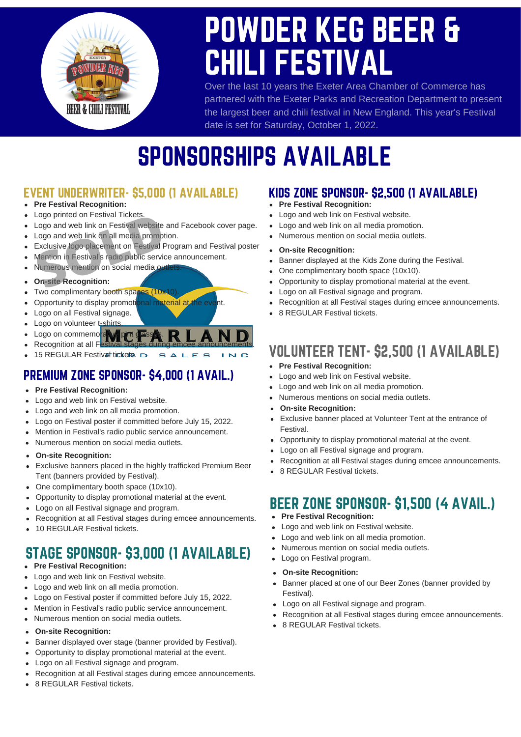

# POWDER KEG BEER & CHILI FESTIVAL

Over the last 10 years the Exeter Area Chamber of Commerce has partnered with the Exeter Parks and Recreation Department to present the largest beer and chili festival in New England. This year's Festival date is set for Saturday, October 1, 2022.

## SPONSORSHIPS AVAILABLE

**INC** 

#### EVENT UNDERWRITER- \$5,000 (1 AVAILABLE) KIDS ZONE SPONSOR- \$2,500 (1 AVAILABLE)

- $\bullet$ **Pre Festival Recognition:**
- $\bullet$ Logo printed on Festival Tickets.
- Logo printed on Festival Tickets.<br>Logo and web link on Festival website<br>Logo and web link on all media promot<br>Exclusive logo placement on Festival F<br>Mention in Festival's radio public servic<br>Numerous mention on social medi  $\bullet$ Logo and web link on Festival website and Facebook cover page.
- Logo and web link on all media promotion.  $\bullet$
- Exclusive logo placement on Festival Program and Festival poster  $\bullet$
- Mention in Festival's radio public service announcement.  $\bullet$
- Numerous mention on social media or  $\bullet$

#### **On-site Recognition:**  $\bullet$

- Two complimentary booth spaces (10x10)  $\bullet$
- Opportunity to display promotional material at the event.  $\bullet$
- Logo on all Festival signage.  $\bullet$
- $\bullet$ Logo on volunteer t-shirts
- Logo on commemorative  $\bullet$
- Recognition at all F  $\bullet$ 15 REGULAR Festival tickets. SALES  $\bullet$

#### PREMIUM ZONE SPONSOR- \$4,000 (1 AVAIL.)

- **Pre Festival Recognition:**  $\bullet$
- Logo and web link on Festival website.  $\bullet$
- Logo and web link on all media promotion.  $\bullet$
- Logo on Festival poster if committed before July 15, 2022.  $\bullet$
- Mention in Festival's radio public service announcement.  $\bullet$
- Numerous mention on social media outlets.  $\bullet$
- **On-site Recognition:**  $\bullet$
- Exclusive banners placed in the highly trafficked Premium Beer  $\bullet$ Tent (banners provided by Festival).
- One complimentary booth space (10x10).  $\bullet$
- Opportunity to display promotional material at the event.  $\bullet$
- Logo on all Festival signage and program.  $\bullet$
- Recognition at all Festival stages during emcee announcements.  $\bullet$
- 10 REGULAR Festival tickets.

### STAGE SPONSOR- \$3,000 (1 AVAILABLE)

- **Pre Festival Recognition:**  $\bullet$
- Logo and web link on Festival website.  $\bullet$
- $\bullet$ Logo and web link on all media promotion.
- Logo on Festival poster if committed before July 15, 2022.  $\bullet$
- Mention in Festival's radio public service announcement.  $\bullet$
- Numerous mention on social media outlets.  $\bullet$
- **On-site Recognition:**  $\bullet$
- Banner displayed over stage (banner provided by Festival).  $\bullet$
- Opportunity to display promotional material at the event.  $\bullet$
- Logo on all Festival signage and program.  $\bullet$
- $\bullet$ Recognition at all Festival stages during emcee announcements.
- 8 REGULAR Festival tickets.

- **Pre Festival Recognition:**
- Logo and web link on Festival website.
- Logo and web link on all media promotion.
- Numerous mention on social media outlets.
- **On-site Recognition:**
- Banner displayed at the Kids Zone during the Festival.
- One complimentary booth space (10x10).
- Opportunity to display promotional material at the event.
- Logo on all Festival signage and program.
- Recognition at all Festival stages during emcee announcements.
- 8 REGULAR Festival tickets.

### VOLUNTEER TENT- \$2,500 (1 AVAILABLE)

- **Pre Festival Recognition:**
- Logo and web link on Festival website.
- Logo and web link on all media promotion.
- Numerous mentions on social media outlets.
- **On-site Recognition:**
- Exclusive banner placed at Volunteer Tent at the entrance of Festival.
- Opportunity to display promotional material at the event.  $\bullet$
- Logo on all Festival signage and program.  $\bullet$
- Recognition at all Festival stages during emcee announcements.  $\bullet$
- 8 REGULAR Festival tickets.

#### BEER ZONE SPONSOR- \$1,500 (4 AVAIL.)

- **Pre Festival Recognition:**
- Logo and web link on Festival website.  $\bullet$
- Logo and web link on all media promotion.  $\bullet$
- Numerous mention on social media outlets.
- Logo on Festival program.
- **On-site Recognition:**  $\bullet$
- Banner placed at one of our Beer Zones (banner provided by  $\bullet$ Festival).
- Logo on all Festival signage and program.
- Recognition at all Festival stages during emcee announcements.
- 8 REGULAR Festival tickets.